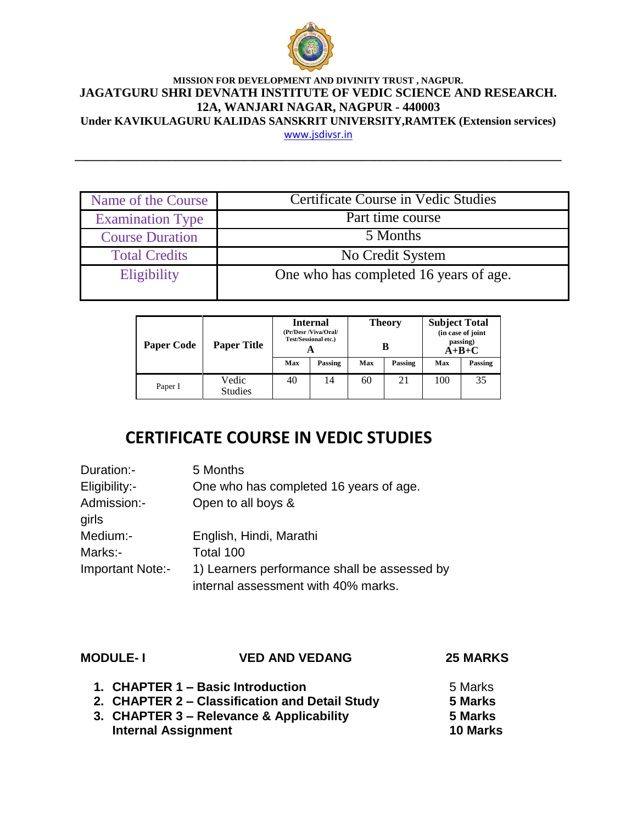

## **MISSION FOR DEVELOPMENT AND DIVINITY TRUST , NAGPUR. JAGATGURU SHRI DEVNATH INSTITUTE OF VEDIC SCIENCE AND RESEARCH. 12A, WANJARI NAGAR, NAGPUR - 440003 Under KAVIKULAGURU KALIDAS SANSKRIT UNIVERSITY,RAMTEK (Extension services)**

[www.jsdivsr.in](http://www.jsdivsr.in/)

**\_\_\_\_\_\_\_\_\_\_\_\_\_\_\_\_\_\_\_\_\_\_\_\_\_\_\_\_\_\_\_\_\_\_\_\_\_\_\_\_\_\_\_\_\_\_\_\_\_\_\_\_\_\_\_\_\_\_\_\_\_\_\_\_\_\_\_\_\_\_\_\_\_\_\_\_\_\_**

| Name of the Course      | Certificate Course in Vedic Studies    |
|-------------------------|----------------------------------------|
| <b>Examination Type</b> | Part time course                       |
| <b>Course Duration</b>  | 5 Months                               |
| <b>Total Credits</b>    | No Credit System                       |
| Eligibility             | One who has completed 16 years of age. |
|                         |                                        |

| <b>Paper Code</b> | <b>Paper Title</b>      | Internal<br>(Pr/Desr /Viva/Oral/<br><b>Test/Sessional etc.)</b><br>A |         | Theory<br>в |         | <b>Subject Total</b><br>(in case of joint<br>passing)<br>$A+B+C$ |         |
|-------------------|-------------------------|----------------------------------------------------------------------|---------|-------------|---------|------------------------------------------------------------------|---------|
|                   |                         | Max                                                                  | Passing | Max         | Passing | Max                                                              | Passing |
| Paper I           | Vedic<br><b>Studies</b> | 40                                                                   | 14      | 60          | 21      | 100                                                              | 35      |

## **CERTIFICATE COURSE IN VEDIC STUDIES**

| Duration:-              | 5 Months                                     |
|-------------------------|----------------------------------------------|
| Eligibility:-           | One who has completed 16 years of age.       |
| Admission:-<br>girls    | Open to all boys &                           |
| Medium:-                | English, Hindi, Marathi                      |
| Marks:-                 | Total 100                                    |
| <b>Important Note:-</b> | 1) Learners performance shall be assessed by |
|                         | internal assessment with 40% marks.          |

| <b>MODULE-I</b>            | <b>VED AND VEDANG</b>                          | <b>25 MARKS</b> |
|----------------------------|------------------------------------------------|-----------------|
|                            | 1. CHAPTER 1 - Basic Introduction              | 5 Marks         |
|                            | 2. CHAPTER 2 – Classification and Detail Study | 5 Marks         |
|                            | 3. CHAPTER 3 – Relevance & Applicability       | 5 Marks         |
| <b>Internal Assignment</b> |                                                | <b>10 Marks</b> |
|                            |                                                |                 |